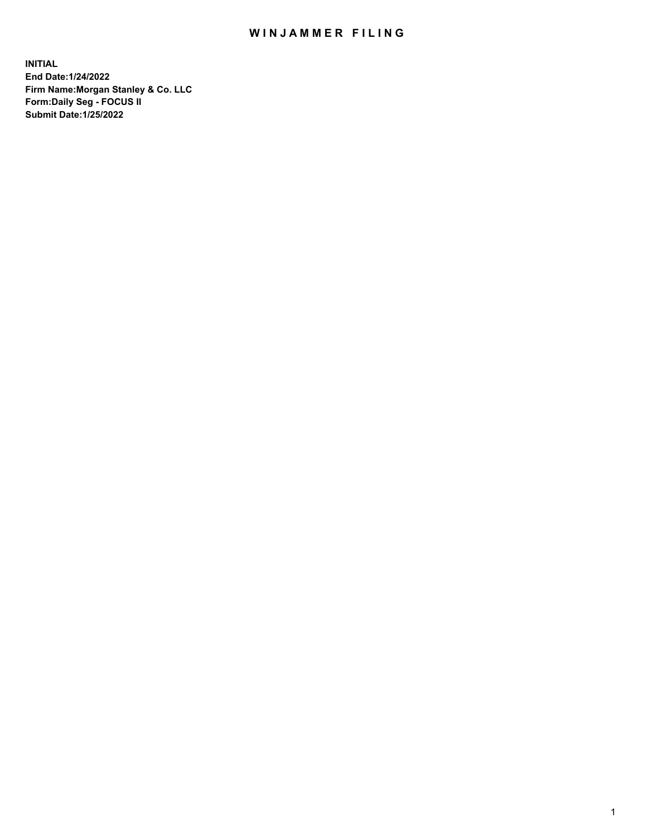## WIN JAMMER FILING

**INITIAL End Date:1/24/2022 Firm Name:Morgan Stanley & Co. LLC Form:Daily Seg - FOCUS II Submit Date:1/25/2022**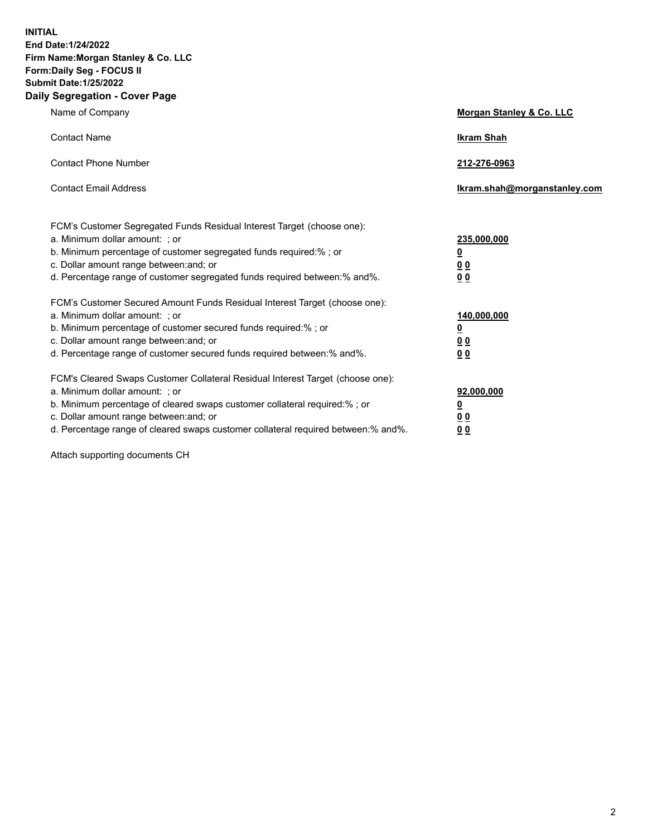**INITIAL End Date:1/24/2022 Firm Name:Morgan Stanley & Co. LLC Form:Daily Seg - FOCUS II Submit Date:1/25/2022 Daily Segregation - Cover Page**

| Name of Company                                                                                                                                                                                                                                                                                                                | Morgan Stanley & Co. LLC                               |
|--------------------------------------------------------------------------------------------------------------------------------------------------------------------------------------------------------------------------------------------------------------------------------------------------------------------------------|--------------------------------------------------------|
| <b>Contact Name</b>                                                                                                                                                                                                                                                                                                            | <b>Ikram Shah</b>                                      |
| <b>Contact Phone Number</b>                                                                                                                                                                                                                                                                                                    | 212-276-0963                                           |
| <b>Contact Email Address</b>                                                                                                                                                                                                                                                                                                   | Ikram.shah@morganstanley.com                           |
| FCM's Customer Segregated Funds Residual Interest Target (choose one):<br>a. Minimum dollar amount: : or<br>b. Minimum percentage of customer segregated funds required:%; or<br>c. Dollar amount range between: and; or<br>d. Percentage range of customer segregated funds required between:% and%.                          | 235,000,000<br><u>0</u><br>0 Q<br><u>00</u>            |
| FCM's Customer Secured Amount Funds Residual Interest Target (choose one):<br>a. Minimum dollar amount: ; or<br>b. Minimum percentage of customer secured funds required:%; or<br>c. Dollar amount range between: and; or<br>d. Percentage range of customer secured funds required between:% and%.                            | 140,000,000<br><u>0</u><br><u>00</u><br>0 <sub>0</sub> |
| FCM's Cleared Swaps Customer Collateral Residual Interest Target (choose one):<br>a. Minimum dollar amount: ; or<br>b. Minimum percentage of cleared swaps customer collateral required:% ; or<br>c. Dollar amount range between: and; or<br>d. Percentage range of cleared swaps customer collateral required between:% and%. | 92,000,000<br><u>0</u><br><u>00</u><br>0 <sub>0</sub>  |

Attach supporting documents CH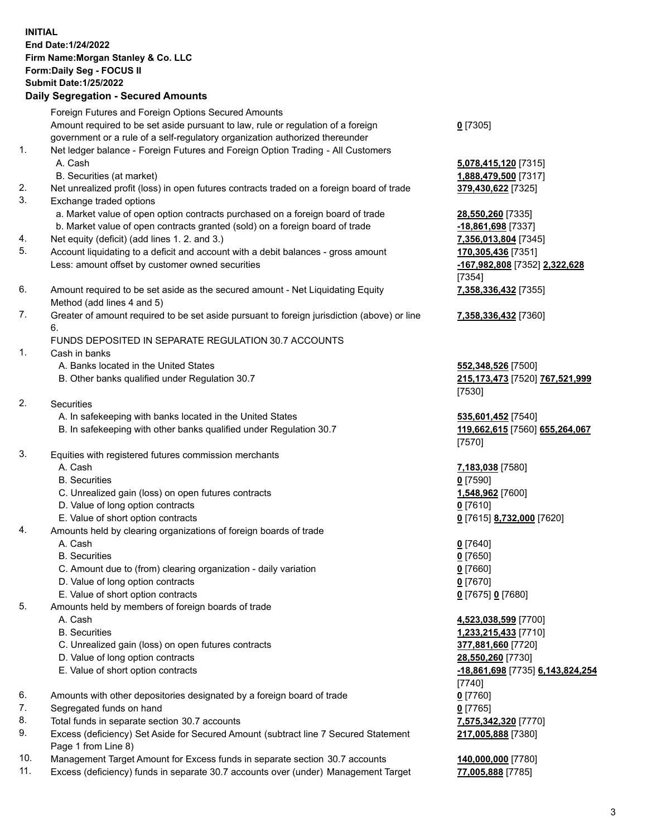## **INITIAL End Date:1/24/2022 Firm Name:Morgan Stanley & Co. LLC Form:Daily Seg - FOCUS II Submit Date:1/25/2022 Daily Segregation - Secured Amounts** Foreign Futures and Foreign Options Secured Amounts Amount required to be set aside pursuant to law, rule or regulation of a foreign government or a rule of a self-regulatory organization authorized thereunder 1. Net ledger balance - Foreign Futures and Foreign Option Trading - All Customers A. Cash **5,078,415,120** [7315] B. Securities (at market) **1,888,479,500** [7317] 2. Net unrealized profit (loss) in open futures contracts traded on a foreign board of trade **379,430,622** [7325] 3. Exchange traded options a. Market value of open option contracts purchased on a foreign board of trade **28,550,260** [7335]

- b. Market value of open contracts granted (sold) on a foreign board of trade **-18,861,698** [7337]
- 4. Net equity (deficit) (add lines 1. 2. and 3.) **7,356,013,804** [7345]
- 5. Account liquidating to a deficit and account with a debit balances gross amount **170,305,436** [7351] Less: amount offset by customer owned securities **-167,982,808** [7352] **2,322,628**
- 6. Amount required to be set aside as the secured amount Net Liquidating Equity Method (add lines 4 and 5)
- 7. Greater of amount required to be set aside pursuant to foreign jurisdiction (above) or line 6.

## FUNDS DEPOSITED IN SEPARATE REGULATION 30.7 ACCOUNTS

- 1. Cash in banks
	- A. Banks located in the United States **552,348,526** [7500]
	- B. Other banks qualified under Regulation 30.7 **215,173,473** [7520] **767,521,999**
- 2. Securities
	- A. In safekeeping with banks located in the United States **535,601,452** [7540]
	- B. In safekeeping with other banks qualified under Regulation 30.7 **119,662,615** [7560] **655,264,067**
- 3. Equities with registered futures commission merchants
	-
	- B. Securities **0** [7590]
	- C. Unrealized gain (loss) on open futures contracts **1,548,962** [7600]
	- D. Value of long option contracts **0** [7610]
	- E. Value of short option contracts **0** [7615] **8,732,000** [7620]
- 4. Amounts held by clearing organizations of foreign boards of trade
	- A. Cash **0** [7640]
	- B. Securities **0** [7650]
	- C. Amount due to (from) clearing organization daily variation **0** [7660]
	- D. Value of long option contracts **0** [7670]
	- E. Value of short option contracts **0** [7675] **0** [7680]
- 5. Amounts held by members of foreign boards of trade
	-
	-
	- C. Unrealized gain (loss) on open futures contracts **377,881,660** [7720]
	- D. Value of long option contracts **28,550,260** [7730]
	-
- 6. Amounts with other depositories designated by a foreign board of trade **0** [7760]
- 7. Segregated funds on hand **0** [7765]
- 8. Total funds in separate section 30.7 accounts **7,575,342,320** [7770]
- 9. Excess (deficiency) Set Aside for Secured Amount (subtract line 7 Secured Statement Page 1 from Line 8)
- 10. Management Target Amount for Excess funds in separate section 30.7 accounts **140,000,000** [7780]
- 11. Excess (deficiency) funds in separate 30.7 accounts over (under) Management Target **77,005,888** [7785]

**0** [7305]

[7354] **7,358,336,432** [7355]

**7,358,336,432** [7360]

[7530]

[7570]

A. Cash **7,183,038** [7580]

 A. Cash **4,523,038,599** [7700] B. Securities **1,233,215,433** [7710] E. Value of short option contracts **-18,861,698** [7735] **6,143,824,254** [7740] **217,005,888** [7380]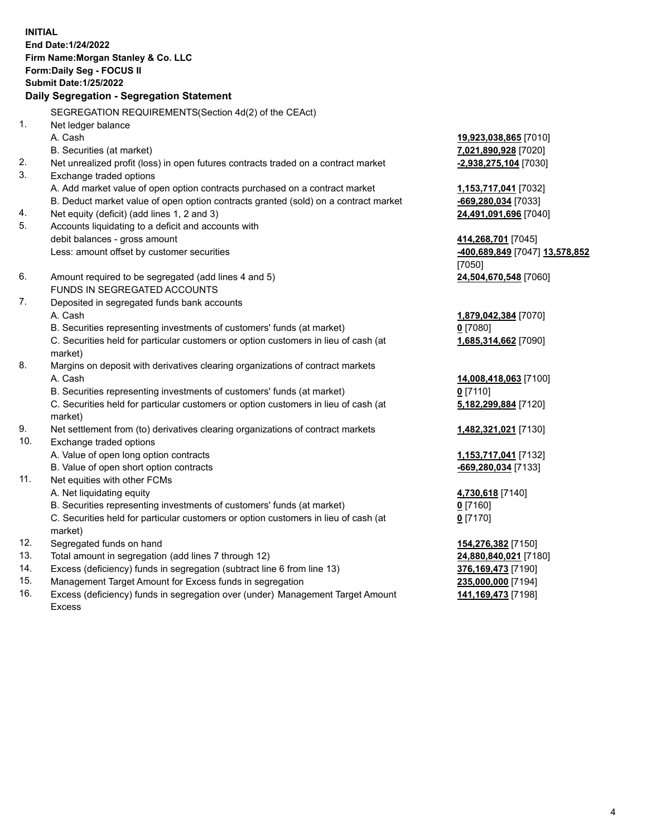**INITIAL End Date:1/24/2022 Firm Name:Morgan Stanley & Co. LLC Form:Daily Seg - FOCUS II Submit Date:1/25/2022 Daily Segregation - Segregation Statement** SEGREGATION REQUIREMENTS(Section 4d(2) of the CEAct) 1. Net ledger balance A. Cash **19,923,038,865** [7010] B. Securities (at market) **7,021,890,928** [7020] 2. Net unrealized profit (loss) in open futures contracts traded on a contract market **-2,938,275,104** [7030] 3. Exchange traded options A. Add market value of open option contracts purchased on a contract market **1,153,717,041** [7032] B. Deduct market value of open option contracts granted (sold) on a contract market **-669,280,034** [7033] 4. Net equity (deficit) (add lines 1, 2 and 3) **24,491,091,696** [7040] 5. Accounts liquidating to a deficit and accounts with debit balances - gross amount **414,268,701** [7045] Less: amount offset by customer securities **-400,689,849** [7047] **13,578,852** [7050] 6. Amount required to be segregated (add lines 4 and 5) **24,504,670,548** [7060] FUNDS IN SEGREGATED ACCOUNTS 7. Deposited in segregated funds bank accounts A. Cash **1,879,042,384** [7070] B. Securities representing investments of customers' funds (at market) **0** [7080] C. Securities held for particular customers or option customers in lieu of cash (at market) **1,685,314,662** [7090] 8. Margins on deposit with derivatives clearing organizations of contract markets A. Cash **14,008,418,063** [7100] B. Securities representing investments of customers' funds (at market) **0** [7110] C. Securities held for particular customers or option customers in lieu of cash (at market) **5,182,299,884** [7120] 9. Net settlement from (to) derivatives clearing organizations of contract markets **1,482,321,021** [7130] 10. Exchange traded options A. Value of open long option contracts **1,153,717,041** [7132] B. Value of open short option contracts **-669,280,034** [7133] 11. Net equities with other FCMs A. Net liquidating equity **4,730,618** [7140] B. Securities representing investments of customers' funds (at market) **0** [7160] C. Securities held for particular customers or option customers in lieu of cash (at market) **0** [7170] 12. Segregated funds on hand **154,276,382** [7150] 13. Total amount in segregation (add lines 7 through 12) **24,880,840,021** [7180] 14. Excess (deficiency) funds in segregation (subtract line 6 from line 13) **376,169,473** [7190] 15. Management Target Amount for Excess funds in segregation **235,000,000** [7194]

16. Excess (deficiency) funds in segregation over (under) Management Target Amount Excess

**141,169,473** [7198]